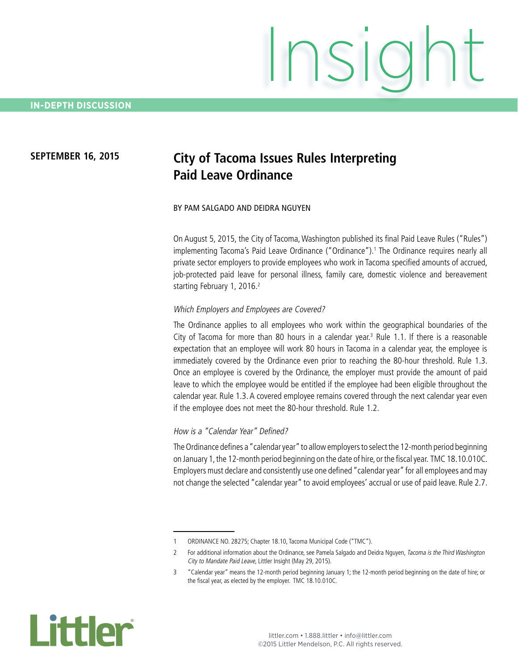# Insight

# **SEPTEMBER 16, 2015 City of Tacoma Issues Rules Interpreting Paid Leave Ordinance**

### BY PAM SALGADO AND DEIDRA NGUYEN

On August 5, 2015, the City of Tacoma, Washington published its final Paid Leave Rules ("Rules") implementing Tacoma's Paid Leave Ordinance ("Ordinance").1 The Ordinance requires nearly all private sector employers to provide employees who work in Tacoma specified amounts of accrued, job-protected paid leave for personal illness, family care, domestic violence and bereavement starting February 1, 2016.<sup>2</sup>

### Which Employers and Employees are Covered?

The Ordinance applies to all employees who work within the geographical boundaries of the City of Tacoma for more than 80 hours in a calendar year.<sup>3</sup> Rule 1.1. If there is a reasonable expectation that an employee will work 80 hours in Tacoma in a calendar year, the employee is immediately covered by the Ordinance even prior to reaching the 80-hour threshold. Rule 1.3. Once an employee is covered by the Ordinance, the employer must provide the amount of paid leave to which the employee would be entitled if the employee had been eligible throughout the calendar year. Rule 1.3. A covered employee remains covered through the next calendar year even if the employee does not meet the 80-hour threshold. Rule 1.2.

### How is a "Calendar Year" Defined?

The Ordinance defines a "calendar year" to allow employers to select the 12-month period beginning on January 1, the 12-month period beginning on the date of hire, or the fiscal year. TMC 18.10.010C. Employers must declare and consistently use one defined "calendar year" for all employees and may not change the selected "calendar year" to avoid employees' accrual or use of paid leave. Rule 2.7.



<sup>1</sup> ORDINANCE NO. 28275; Chapter 18.10, Tacoma Municipal Code ("TMC").

<sup>2</sup> For additional information about the Ordinance, see Pamela Salgado and Deidra Nguyen, Tacoma is the Third Washington City to Mandate Paid Leave, Littler Insight (May 29, 2015).

<sup>3</sup> "Calendar year" means the 12-month period beginning January 1; the 12-month period beginning on the date of hire; or the fiscal year, as elected by the employer. TMC 18.10.010C.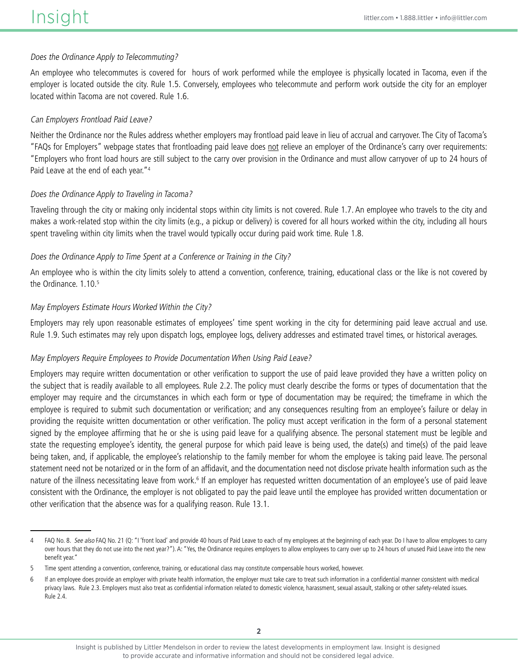### Does the Ordinance Apply to Telecommuting?

An employee who telecommutes is covered for hours of work performed while the employee is physically located in Tacoma, even if the employer is located outside the city. Rule 1.5. Conversely, employees who telecommute and perform work outside the city for an employer located within Tacoma are not covered. Rule 1.6.

### Can Employers Frontload Paid Leave?

Neither the Ordinance nor the Rules address whether employers may frontload paid leave in lieu of accrual and carryover. The City of Tacoma's "FAQs for Employers" webpage states that frontloading paid leave does not relieve an employer of the Ordinance's carry over requirements: "Employers who front load hours are still subject to the carry over provision in the Ordinance and must allow carryover of up to 24 hours of Paid Leave at the end of each year."4

### Does the Ordinance Apply to Traveling in Tacoma?

Traveling through the city or making only incidental stops within city limits is not covered. Rule 1.7. An employee who travels to the city and makes a work-related stop within the city limits (e.g., a pickup or delivery) is covered for all hours worked within the city, including all hours spent traveling within city limits when the travel would typically occur during paid work time. Rule 1.8.

### Does the Ordinance Apply to Time Spent at a Conference or Training in the City?

An employee who is within the city limits solely to attend a convention, conference, training, educational class or the like is not covered by the Ordinance. 1.10.<sup>5</sup>

### May Employers Estimate Hours Worked Within the City?

Employers may rely upon reasonable estimates of employees' time spent working in the city for determining paid leave accrual and use. Rule 1.9. Such estimates may rely upon dispatch logs, employee logs, delivery addresses and estimated travel times, or historical averages.

### May Employers Require Employees to Provide Documentation When Using Paid Leave?

Employers may require written documentation or other verification to support the use of paid leave provided they have a written policy on the subject that is readily available to all employees. Rule 2.2. The policy must clearly describe the forms or types of documentation that the employer may require and the circumstances in which each form or type of documentation may be required; the timeframe in which the employee is required to submit such documentation or verification; and any consequences resulting from an employee's failure or delay in providing the requisite written documentation or other verification. The policy must accept verification in the form of a personal statement signed by the employee affirming that he or she is using paid leave for a qualifying absence. The personal statement must be legible and state the requesting employee's identity, the general purpose for which paid leave is being used, the date(s) and time(s) of the paid leave being taken, and, if applicable, the employee's relationship to the family member for whom the employee is taking paid leave. The personal statement need not be notarized or in the form of an affidavit, and the documentation need not disclose private health information such as the nature of the illness necessitating leave from work.<sup>6</sup> If an employer has requested written documentation of an employee's use of paid leave consistent with the Ordinance, the employer is not obligated to pay the paid leave until the employee has provided written documentation or other verification that the absence was for a qualifying reason. Rule 13.1.

<sup>4</sup> FAQ No. 8. See also FAQ No. 21 (Q: "I 'front load' and provide 40 hours of Paid Leave to each of my employees at the beginning of each year. Do I have to allow employees to carry over hours that they do not use into the next year?"). A: "Yes, the Ordinance requires employers to allow employees to carry over up to 24 hours of unused Paid Leave into the new benefit year."

<sup>5</sup> Time spent attending a convention, conference, training, or educational class may constitute compensable hours worked, however.

If an employee does provide an employer with private health information, the employer must take care to treat such information in a confidential manner consistent with medical privacy laws. Rule 2.3. Employers must also treat as confidential information related to domestic violence, harassment, sexual assault, stalking or other safety-related issues. Rule 2.4.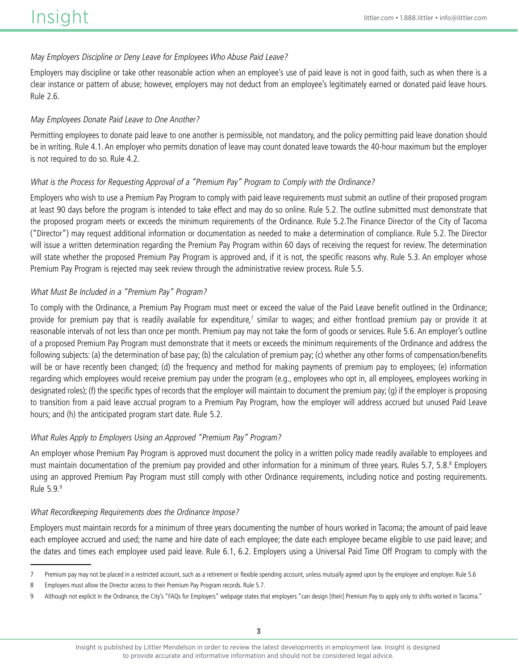### May Employers Discipline or Deny Leave for Employees Who Abuse Paid Leave?

Employers may discipline or take other reasonable action when an employee's use of paid leave is not in good faith, such as when there is a clear instance or pattern of abuse; however, employers may not deduct from an employee's legitimately earned or donated paid leave hours. Rule 2.6.

### May Employees Donate Paid Leave to One Another?

Permitting employees to donate paid leave to one another is permissible, not mandatory, and the policy permitting paid leave donation should be in writing. Rule 4.1. An employer who permits donation of leave may count donated leave towards the 40-hour maximum but the employer is not required to do so. Rule 4.2.

### What is the Process for Requesting Approval of a "Premium Pay" Program to Comply with the Ordinance?

Employers who wish to use a Premium Pay Program to comply with paid leave requirements must submit an outline of their proposed program at least 90 days before the program is intended to take effect and may do so online. Rule 5.2. The outline submitted must demonstrate that the proposed program meets or exceeds the minimum requirements of the Ordinance. Rule 5.2.The Finance Director of the City of Tacoma ("Director") may request additional information or documentation as needed to make a determination of compliance. Rule 5.2. The Director will issue a written determination regarding the Premium Pay Program within 60 days of receiving the request for review. The determination will state whether the proposed Premium Pay Program is approved and, if it is not, the specific reasons why. Rule 5.3. An employer whose Premium Pay Program is rejected may seek review through the administrative review process. Rule 5.5.

### What Must Be Included in a "Premium Pay" Program?

To comply with the Ordinance, a Premium Pay Program must meet or exceed the value of the Paid Leave benefit outlined in the Ordinance; provide for premium pay that is readily available for expenditure,<sup>7</sup> similar to wages; and either frontload premium pay or provide it at reasonable intervals of not less than once per month. Premium pay may not take the form of goods or services. Rule 5.6. An employer's outline of a proposed Premium Pay Program must demonstrate that it meets or exceeds the minimum requirements of the Ordinance and address the following subjects: (a) the determination of base pay; (b) the calculation of premium pay; (c) whether any other forms of compensation/benefits will be or have recently been changed; (d) the frequency and method for making payments of premium pay to employees; (e) information regarding which employees would receive premium pay under the program (e.g., employees who opt in, all employees, employees working in designated roles); (f) the specific types of records that the employer will maintain to document the premium pay; (g) if the employer is proposing to transition from a paid leave accrual program to a Premium Pay Program, how the employer will address accrued but unused Paid Leave hours; and (h) the anticipated program start date. Rule 5.2.

### What Rules Apply to Employers Using an Approved "Premium Pay" Program?

An employer whose Premium Pay Program is approved must document the policy in a written policy made readily available to employees and must maintain documentation of the premium pay provided and other information for a minimum of three years. Rules 5.7, 5.8.<sup>8</sup> Employers using an approved Premium Pay Program must still comply with other Ordinance requirements, including notice and posting requirements. Rule 5.9.9

### What Recordkeeping Requirements does the Ordinance Impose?

Employers must maintain records for a minimum of three years documenting the number of hours worked in Tacoma; the amount of paid leave each employee accrued and used; the name and hire date of each employee; the date each employee became eligible to use paid leave; and the dates and times each employee used paid leave. Rule 6.1, 6.2. Employers using a Universal Paid Time Off Program to comply with the

<sup>7</sup> Premium pay may not be placed in a restricted account, such as a retirement or flexible spending account, unless mutually agreed upon by the employee and employer. Rule 5.6

<sup>8</sup> Employers must allow the Director access to their Premium Pay Program records. Rule 5.7.

<sup>9</sup> Although not explicit in the Ordinance, the City's "FAQs for Employers" webpage states that employers "can design [their] Premium Pay to apply only to shifts worked in Tacoma."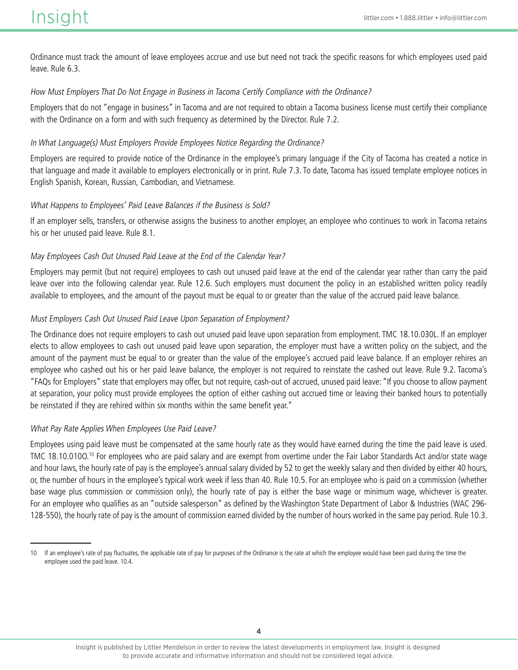Ordinance must track the amount of leave employees accrue and use but need not track the specific reasons for which employees used paid leave. Rule 6.3.

### How Must Employers That Do Not Engage in Business in Tacoma Certify Compliance with the Ordinance?

Employers that do not "engage in business" in Tacoma and are not required to obtain a Tacoma business license must certify their compliance with the Ordinance on a form and with such frequency as determined by the Director. Rule 7.2.

### In What Language(s) Must Employers Provide Employees Notice Regarding the Ordinance?

Employers are required to provide notice of the Ordinance in the employee's primary language if the City of Tacoma has created a notice in that language and made it available to employers electronically or in print. Rule 7.3. To date, Tacoma has issued template employee notices in English Spanish, Korean, Russian, Cambodian, and Vietnamese.

### What Happens to Employees' Paid Leave Balances if the Business is Sold?

If an employer sells, transfers, or otherwise assigns the business to another employer, an employee who continues to work in Tacoma retains his or her unused paid leave. Rule 8.1.

### May Employees Cash Out Unused Paid Leave at the End of the Calendar Year?

Employers may permit (but not require) employees to cash out unused paid leave at the end of the calendar year rather than carry the paid leave over into the following calendar year. Rule 12.6. Such employers must document the policy in an established written policy readily available to employees, and the amount of the payout must be equal to or greater than the value of the accrued paid leave balance.

### Must Employers Cash Out Unused Paid Leave Upon Separation of Employment?

The Ordinance does not require employers to cash out unused paid leave upon separation from employment. TMC 18.10.030L. If an employer elects to allow employees to cash out unused paid leave upon separation, the employer must have a written policy on the subject, and the amount of the payment must be equal to or greater than the value of the employee's accrued paid leave balance. If an employer rehires an employee who cashed out his or her paid leave balance, the employer is not required to reinstate the cashed out leave. Rule 9.2. Tacoma's "FAQs for Employers" state that employers may offer, but not require, cash-out of accrued, unused paid leave: "If you choose to allow payment at separation, your policy must provide employees the option of either cashing out accrued time or leaving their banked hours to potentially be reinstated if they are rehired within six months within the same benefit year."

## What Pay Rate Applies When Employees Use Paid Leave?

Employees using paid leave must be compensated at the same hourly rate as they would have earned during the time the paid leave is used. TMC 18.10.0100.<sup>10</sup> For employees who are paid salary and are exempt from overtime under the Fair Labor Standards Act and/or state wage and hour laws, the hourly rate of pay is the employee's annual salary divided by 52 to get the weekly salary and then divided by either 40 hours, or, the number of hours in the employee's typical work week if less than 40. Rule 10.5. For an employee who is paid on a commission (whether base wage plus commission or commission only), the hourly rate of pay is either the base wage or minimum wage, whichever is greater. For an employee who qualifies as an "outside salesperson" as defined by the Washington State Department of Labor & Industries (WAC 296- 128-550), the hourly rate of pay is the amount of commission earned divided by the number of hours worked in the same pay period. Rule 10.3.

<sup>10</sup> If an employee's rate of pay fluctuates, the applicable rate of pay for purposes of the Ordinance is the rate at which the employee would have been paid during the time the employee used the paid leave. 10.4.